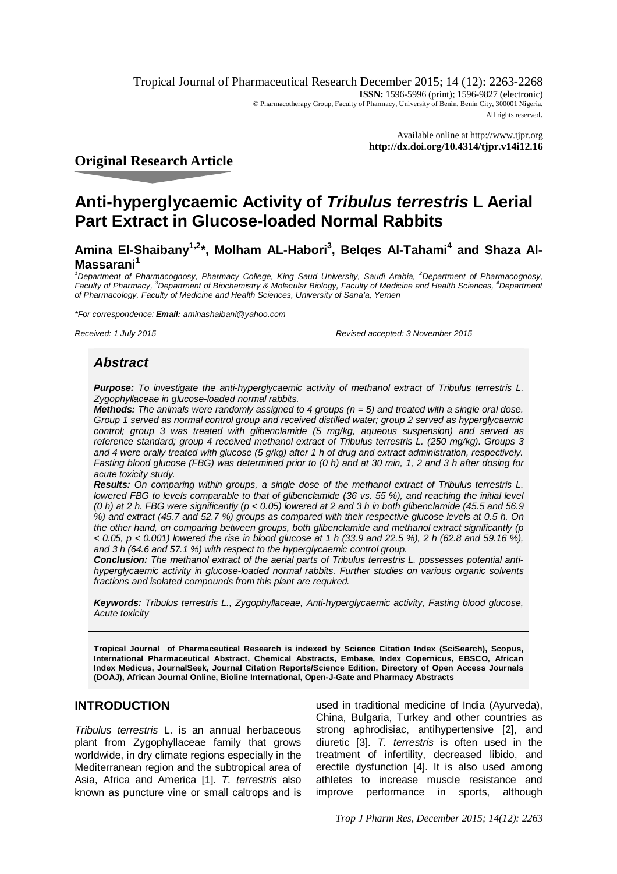Tropical Journal of Pharmaceutical Research December 2015; 14 (12): 2263-2268 **ISSN:** 1596-5996 (print); 1596-9827 (electronic) © Pharmacotherapy Group, Faculty of Pharmacy, University of Benin, Benin City, 300001 Nigeria. All rights reserved.

> Available online at <http://www.tjpr.org> **<http://dx.doi.org/10.4314/tjpr.v14i12.16>**

# **Original Research Article**

# **Anti-hyperglycaemic Activity of** *Tribulus terrestris* **L Aerial Part Extract in Glucose-loaded Normal Rabbits**

**Amina El-Shaibany1,2\*, Molham AL-Habori<sup>3</sup> , Belqes Al-Tahami<sup>4</sup> and Shaza Al-Massarani<sup>1</sup>**

<sup>1</sup>*Department of Pharmacognosy, Pharmacy College, King Saud University, Saudi Arabia, <sup>2</sup>Department of Pharmacognosy, Faculty of Pharmacy, <sup>3</sup>Department of Biochemistry & Molecular Biology, Faculty of Medicine and Health Sciences, <sup>4</sup>Department of Pharmacology, Faculty of Medicine and Health Sciences, University of Sana'a, Yemen*

*\*For correspondence: Email: [aminashaibani@yahoo.com](mailto:aminashaibani@yahoo.com)*

*Received: 1 July 2015 Revised accepted: 3 November 2015*

### *Abstract*

*Purpose: To investigate the anti-hyperglycaemic activity of methanol extract of Tribulus terrestris L. Zygophyllaceae in glucose-loaded normal rabbits.*

*Methods: The animals were randomly assigned to 4 groups (n = 5) and treated with a single oral dose. Group 1 served as normal control group and received distilled water; group 2 served as hyperglycaemic control; group 3 was treated with glibenclamide (5 mg/kg, aqueous suspension) and served as reference standard; group 4 received methanol extract of Tribulus terrestris L. (250 mg/kg). Groups 3 and 4 were orally treated with glucose (5 g/kg) after 1 h of drug and extract administration, respectively. Fasting blood glucose (FBG) was determined prior to (0 h) and at 30 min, 1, 2 and 3 h after dosing for acute toxicity study.*

*Results: On comparing within groups, a single dose of the methanol extract of Tribulus terrestris L. lowered FBG to levels comparable to that of glibenclamide (36 vs. 55 %), and reaching the initial level (0 h) at 2 h. FBG were significantly (p < 0.05) lowered at 2 and 3 h in both glibenclamide (45.5 and 56.9 %) and extract (45.7 and 52.7 %) groups as compared with their respective glucose levels at 0.5 h. On the other hand, on comparing between groups, both glibenclamide and methanol extract significantly (p < 0.05, p < 0.001) lowered the rise in blood glucose at 1 h (33.9 and 22.5 %), 2 h (62.8 and 59.16 %), and 3 h (64.6 and 57.1 %) with respect to the hyperglycaemic control group.*

*Conclusion: The methanol extract of the aerial parts of Tribulus terrestris L. possesses potential antihyperglycaemic activity in glucose-loaded normal rabbits. Further studies on various organic solvents fractions and isolated compounds from this plant are required.* 

*Keywords: Tribulus terrestris L., Zygophyllaceae, Anti-hyperglycaemic activity, Fasting blood glucose, Acute toxicity*

**Tropical Journal of Pharmaceutical Research is indexed by Science Citation Index (SciSearch), Scopus, International Pharmaceutical Abstract, Chemical Abstracts, Embase, Index Copernicus, EBSCO, African Index Medicus, JournalSeek, Journal Citation Reports/Science Edition, Directory of Open Access Journals (DOAJ), African Journal Online, Bioline International, Open-J-Gate and Pharmacy Abstracts**

### **INTRODUCTION**

*Tribulus terrestris* L. is an annual herbaceous plant from Zygophyllaceae family that grows worldwide, in dry climate regions especially in the Mediterranean region and the subtropical area of Asia, Africa and America [1]. *T. terrestris* also known as puncture vine or small caltrops and is

used in traditional medicine of India (Ayurveda), China, Bulgaria, Turkey and other countries as strong aphrodisiac, antihypertensive [2], and diuretic [3]. *T. terrestris* is often used in the treatment of infertility, decreased libido, and erectile dysfunction [4]. It is also used among athletes to increase muscle resistance and improve performance in sports, although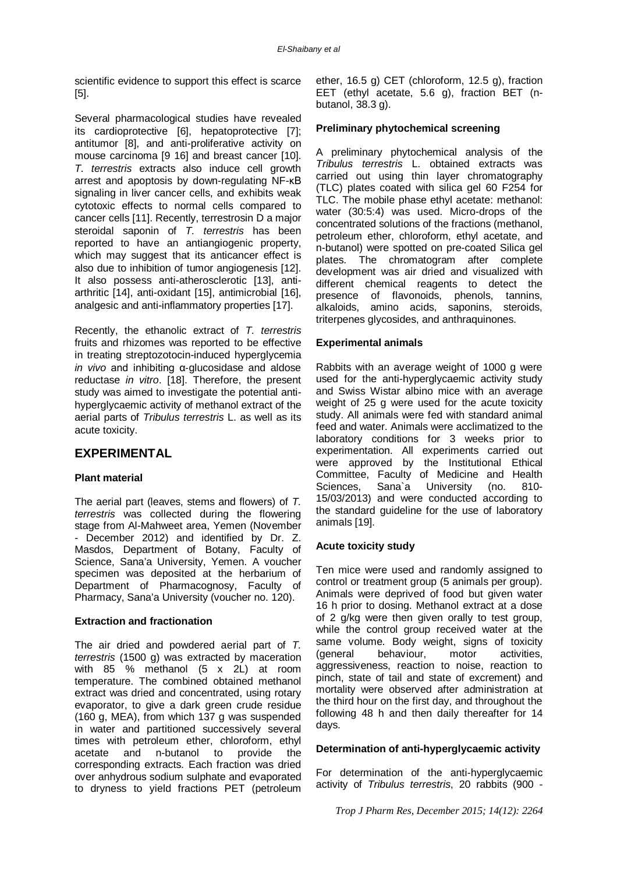scientific evidence to support this effect is scarce [5].

Several pharmacological studies have revealed its cardioprotective [6], hepatoprotective [7]; antitumor [8], and anti-proliferative activity on mouse carcinoma [9 16] and breast cancer [10]. *T. terrestris* extracts also induce cell growth arrest and apoptosis by down-regulating NF-κB signaling in liver cancer cells, and exhibits weak cytotoxic effects to normal cells compared to cancer cells [11]. Recently, terrestrosin D a major steroidal saponin of *T. terrestris* has been reported to have an antiangiogenic property, which may suggest that its anticancer effect is also due to inhibition of tumor angiogenesis [12]. It also possess anti-atherosclerotic [13], antiarthritic [14], anti-oxidant [15], antimicrobial [16], analgesic and anti-inflammatory properties [17].

Recently, the ethanolic extract of *T. terrestris* fruits and rhizomes was reported to be effective in treating streptozotocin-induced hyperglycemia *in vivo* and inhibiting α‐glucosidase and aldose reductase *in vitro*. [18]. Therefore, the present study was aimed to investigate the potential antihyperglycaemic activity of methanol extract of the aerial parts of *Tribulus terrestris* L. as well as its acute toxicity.

### **EXPERIMENTAL**

#### **Plant material**

The aerial part (leaves, stems and flowers) of *T. terrestris* was collected during the flowering stage from Al-Mahweet area, Yemen (November - December 2012) and identified by Dr. Z. Masdos, Department of Botany, Faculty of Science, Sana'a University, Yemen. A voucher specimen was deposited at the herbarium of Department of Pharmacognosy, Faculty of Pharmacy, Sana'a University (voucher no. 120).

#### **Extraction and fractionation**

The air dried and powdered aerial part of *T. terrestris* (1500 g) was extracted by maceration with 85 % methanol (5 x 2L) at room temperature. The combined obtained methanol extract was dried and concentrated, using rotary evaporator, to give a dark green crude residue (160 g, MEA), from which 137 g was suspended in water and partitioned successively several times with petroleum ether, chloroform, ethyl acetate and n-butanol to provide the acetate and n-butanol to provide the corresponding extracts. Each fraction was dried over anhydrous sodium sulphate and evaporated to dryness to yield fractions PET (petroleum

ether, 16.5 g) CET (chloroform, 12.5 g), fraction EET (ethyl acetate, 5.6 g), fraction BET (nbutanol, 38.3 g).

#### **Preliminary phytochemical screening**

A preliminary phytochemical analysis of the *Tribulus terrestris* L. obtained extracts was carried out using thin layer chromatography (TLC) plates coated with silica gel 60 F254 for TLC. The mobile phase ethyl acetate: methanol: water (30:5:4) was used. Micro-drops of the concentrated solutions of the fractions (methanol, petroleum ether, chloroform, ethyl acetate, and n-butanol) were spotted on pre-coated Silica gel plates. The chromatogram after complete development was air dried and visualized with different chemical reagents to detect the presence of flavonoids, phenols, tannins, alkaloids, amino acids, saponins, steroids, triterpenes glycosides, and anthraquinones.

#### **Experimental animals**

Rabbits with an average weight of 1000 g were used for the anti-hyperglycaemic activity study and Swiss Wistar albino mice with an average weight of 25 g were used for the acute toxicity study. All animals were fed with standard animal feed and water. Animals were acclimatized to the laboratory conditions for 3 weeks prior to experimentation. All experiments carried out were approved by the Institutional Ethical Committee, Faculty of Medicine and Health Sciences, Sana`a University (no. 810- 15/03/2013) and were conducted according to the standard guideline for the use of laboratory animals [19].

#### **Acute toxicity study**

Ten mice were used and randomly assigned to control or treatment group (5 animals per group). Animals were deprived of food but given water 16 h prior to dosing. Methanol extract at a dose of 2 g/kg were then given orally to test group, while the control group received water at the same volume. Body weight, signs of toxicity (general behaviour, motor activities, aggressiveness, reaction to noise, reaction to pinch, state of tail and state of excrement) and mortality were observed after administration at the third hour on the first day, and throughout the following 48 h and then daily thereafter for 14 days.

#### **Determination of anti-hyperglycaemic activity**

For determination of the anti-hyperglycaemic activity of *Tribulus terrestris*, 20 rabbits (900 -

*Trop J Pharm Res, December 2015; 14(12): 2264*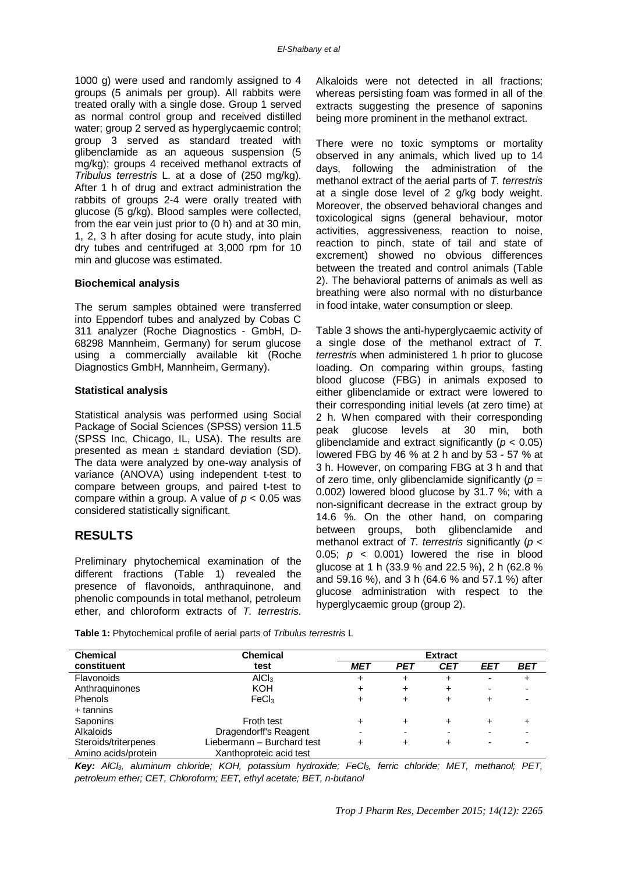1000 g) were used and randomly assigned to 4 groups (5 animals per group). All rabbits were treated orally with a single dose. Group 1 served as normal control group and received distilled water; group 2 served as hyperglycaemic control; group 3 served as standard treated with glibenclamide as an aqueous suspension (5 mg/kg); groups 4 received methanol extracts of *Tribulus terrestris* L. at a dose of (250 mg/kg). After 1 h of drug and extract administration the rabbits of groups 2-4 were orally treated with glucose (5 g/kg). Blood samples were collected, from the ear vein just prior to (0 h) and at 30 min, 1, 2, 3 h after dosing for acute study, into plain dry tubes and centrifuged at 3,000 rpm for 10 min and glucose was estimated.

#### **Biochemical analysis**

The serum samples obtained were transferred into Eppendorf tubes and analyzed by Cobas C 311 analyzer (Roche Diagnostics - GmbH, D-68298 Mannheim, Germany) for serum glucose using a commercially available kit (Roche Diagnostics GmbH, Mannheim, Germany).

#### **Statistical analysis**

Statistical analysis was performed using Social Package of Social Sciences (SPSS) version 11.5 (SPSS Inc, Chicago, IL, USA). The results are presented as mean  $\pm$  standard deviation (SD). The data were analyzed by one-way analysis of variance (ANOVA) using independent t-test to compare between groups, and paired t-test to compare within a group. A value of *p* < 0.05 was considered statistically significant.

#### **RESULTS**

Preliminary phytochemical examination of the different fractions (Table 1) revealed the presence of flavonoids, anthraquinone, and phenolic compounds in total methanol, petroleum ether, and chloroform extracts of *T. terrestris*.

Alkaloids were not detected in all fractions; whereas persisting foam was formed in all of the extracts suggesting the presence of saponins being more prominent in the methanol extract.

There were no toxic symptoms or mortality observed in any animals, which lived up to 14 days, following the administration of the methanol extract of the aerial parts of *T. terrestris* at a single dose level of 2 g/kg body weight. Moreover, the observed behavioral changes and toxicological signs (general behaviour, motor activities, aggressiveness, reaction to noise, reaction to pinch, state of tail and state of excrement) showed no obvious differences between the treated and control animals (Table 2). The behavioral patterns of animals as well as breathing were also normal with no disturbance in food intake, water consumption or sleep.

Table 3 shows the anti-hyperglycaemic activity of a single dose of the methanol extract of *T. terrestris* when administered 1 h prior to glucose loading. On comparing within groups, fasting blood glucose (FBG) in animals exposed to either glibenclamide or extract were lowered to their corresponding initial levels (at zero time) at 2 h. When compared with their corresponding peak glucose levels at 30 min, both glibenclamide and extract significantly (*p* < 0.05) lowered FBG by 46 % at 2 h and by 53 - 57 % at 3 h. However, on comparing FBG at 3 h and that of zero time, only glibenclamide significantly  $(p =$ 0.002) lowered blood glucose by 31.7 %; with a non-significant decrease in the extract group by 14.6 %. On the other hand, on comparing between groups, both glibenclamide and methanol extract of *T. terrestris* significantly (*p* < 0.05;  $p \lt 0.001$ ) lowered the rise in blood glucose at 1 h (33.9 % and 22.5 %), 2 h (62.8 % and 59.16 %), and 3 h (64.6 % and 57.1 %) after glucose administration with respect to the hyperglycaemic group (group 2).

**Table 1:** Phytochemical profile of aerial parts of *Tribulus terrestris* L

| <b>Chemical</b>      | <b>Chemical</b>            | <b>Extract</b> |            |            |     |       |
|----------------------|----------------------------|----------------|------------|------------|-----|-------|
| constituent          | test                       | <b>MET</b>     | <b>PET</b> | <b>CET</b> | EET | BET   |
| Flavonoids           | AICI <sub>3</sub>          | +              | +          | +          | -   | $\pm$ |
| Anthraguinones       | KOH                        |                | +          | ٠          | -   |       |
| Phenols              | FeCl <sub>3</sub>          |                | ٠          |            |     |       |
| + tannins            |                            |                |            |            |     |       |
| Saponins             | Froth test                 |                | ┿          | +          |     |       |
| Alkaloids            | Dragendorff's Reagent      | -              |            | -          |     |       |
| Steroids/triterpenes | Liebermann - Burchard test |                | ┿          |            |     |       |
| Amino acids/protein  | Xanthoproteic acid test    |                |            |            |     |       |

*Key: AlCl3, aluminum chloride; KOH, potassium hydroxide; FeCl3, ferric chloride; MET, methanol; PET, petroleum ether; CET, Chloroform; EET, ethyl acetate; BET, n-butanol*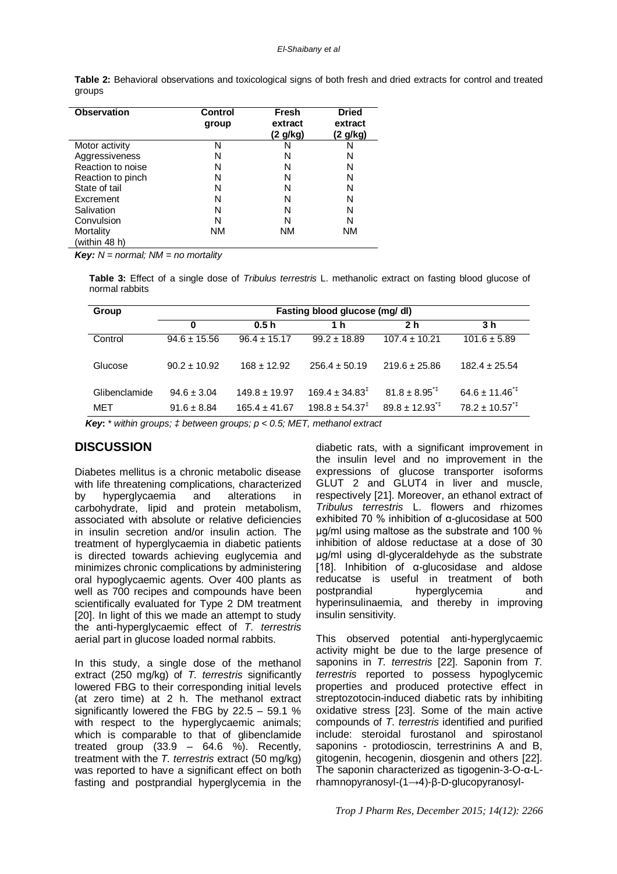| <b>Observation</b> | <b>Control</b><br>group | <b>Fresh</b><br>extract<br>(2 g/kg) | <b>Dried</b><br>extract<br>(2 g/kg) |
|--------------------|-------------------------|-------------------------------------|-------------------------------------|
| Motor activity     | N                       | N                                   | N                                   |
| Aggressiveness     | N                       | N                                   | N                                   |
| Reaction to noise  | N                       | N                                   | N                                   |
| Reaction to pinch  | N                       | N                                   | N                                   |
| State of tail      | N                       | N                                   | N                                   |
| Excrement          | N                       | N                                   | N                                   |
| Salivation         | N                       | N                                   | N                                   |
| Convulsion         | N                       | N                                   | N                                   |
| Mortality          | ΝM                      | ΝM                                  | ΝM                                  |
| (within 48 h)      |                         |                                     |                                     |

**Table 2:** Behavioral observations and toxicological signs of both fresh and dried extracts for control and treated groups

*Key: N = normal; NM = no mortality*

**Table 3:** Effect of a single dose of *Tribulus terrestris* L. methanolic extract on fasting blood glucose of normal rabbits

| Group         | Fasting blood glucose (mg/ dl) |                   |                              |                             |                             |  |  |
|---------------|--------------------------------|-------------------|------------------------------|-----------------------------|-----------------------------|--|--|
|               | $\bf{0}$                       | 0.5h              | 1 h                          | 2 <sub>h</sub>              | 3 <sub>h</sub>              |  |  |
| Control       | $94.6 \pm 15.56$               | $96.4 \pm 15.17$  | $99.2 \pm 18.89$             | $107.4 \pm 10.21$           | $101.6 \pm 5.89$            |  |  |
| Glucose       | $90.2 \pm 10.92$               | $168 \pm 12.92$   | $256.4 \pm 50.19$            | $219.6 \pm 25.86$           | $182.4 \pm 25.54$           |  |  |
| Glibenclamide | $94.6 \pm 3.04$                | $149.8 \pm 19.97$ | $169.4 \pm 34.83^{\ddagger}$ | $81.8 + 8.95^{4}$           | $64.6 \pm 11.46^{\text{+}}$ |  |  |
| MET           | $91.6 \pm 8.84$                | $165.4 \pm 41.67$ | $198.8 \pm 54.37^{\ddagger}$ | $89.8 \pm 12.93^{\text{*}}$ | $78.2 \pm 10.57^{\text{*}}$ |  |  |

 *Key***:** \* *within groups; ‡ between groups; p < 0.5; MET, methanol extract*

### **DISCUSSION**

Diabetes mellitus is a chronic metabolic disease with life threatening complications, characterized by hyperglycaemia and alterations in carbohydrate, lipid and protein metabolism, associated with absolute or relative deficiencies in insulin secretion and/or insulin action. The treatment of hyperglycaemia in diabetic patients is directed towards achieving euglycemia and minimizes chronic complications by administering oral hypoglycaemic agents. Over 400 plants as well as 700 recipes and compounds have been scientifically evaluated for Type 2 DM treatment [20]. In light of this we made an attempt to study the anti-hyperglycaemic effect of *T. terrestris* aerial part in glucose loaded normal rabbits.

In this study, a single dose of the methanol extract (250 mg/kg) of *T. terrestris* significantly lowered FBG to their corresponding initial levels (at zero time) at 2 h. The methanol extract significantly lowered the FBG by 22.5 – 59.1 % with respect to the hyperglycaemic animals; which is comparable to that of glibenclamide treated group  $(33.9 - 64.6 \%)$ . Recently, treatment with the *T. terrestris* extract (50 mg/kg) was reported to have a significant effect on both fasting and postprandial hyperglycemia in the

diabetic rats, with a significant improvement in the insulin level and no improvement in the expressions of glucose transporter isoforms GLUT 2 and GLUT4 in liver and muscle, respectively [21]. Moreover, an ethanol extract of *Tribulus terrestris* L. flowers and rhizomes exhibited 70 % inhibition of α-glucosidase at 500 μg/ml using maltose as the substrate and 100 % inhibition of aldose reductase at a dose of 30 μg/ml using dl-glyceraldehyde as the substrate [18]. Inhibition of α‐glucosidase and aldose reducatse is useful in treatment of both postprandial hyperglycemia and hyperinsulinaemia, and thereby in improving insulin sensitivity.

This observed potential anti-hyperglycaemic activity might be due to the large presence of saponins in *T. terrestris* [22]. Saponin from *T. terrestris* reported to possess hypoglycemic properties and produced protective effect in streptozotocin-induced diabetic rats by inhibiting oxidative stress [23]. Some of the main active compounds of *T. terrestris* identified and purified include: steroidal furostanol and spirostanol saponins - protodioscin, terrestrinins A and B, gitogenin, hecogenin, diosgenin and others [22]. The saponin characterized as tigogenin-3-O-α-Lrhamnopyranosyl-(1→4)-β-D-glucopyranosyl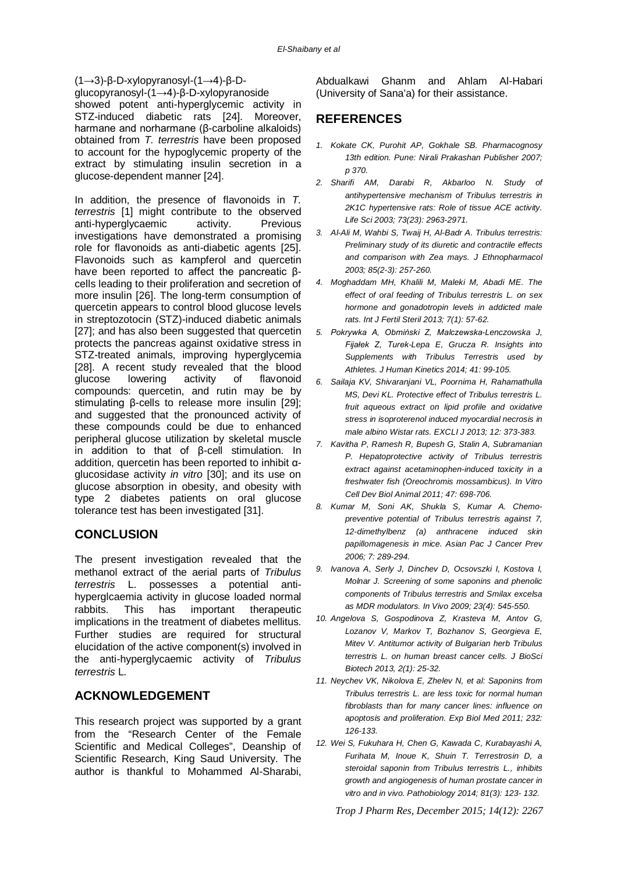(1→3)-β-D-xylopyranosyl-(1→4)-β-D-

glucopyranosyl-(1→4)-β-D-xylopyranoside showed potent anti-hyperglycemic activity in STZ-induced diabetic rats [24]. Moreover, harmane and norharmane (β-carboline alkaloids) obtained from *T. terrestris* have been proposed to account for the hypoglycemic property of the extract by stimulating insulin secretion in a glucose-dependent manner [24].

In addition, the presence of flavonoids in *T. terrestris* [1] might contribute to the observed anti-hyperglycaemic activity. Previous investigations have demonstrated a promising role for flavonoids as anti-diabetic agents [25]. Flavonoids such as kampferol and quercetin have been reported to affect the pancreatic βcells leading to their proliferation and secretion of more insulin [26]. The long-term consumption of quercetin appears to control blood glucose levels in streptozotocin (STZ)-induced diabetic animals [27]; and has also been suggested that quercetin protects the pancreas against oxidative stress in STZ-treated animals, improving hyperglycemia [28]. A recent study revealed that the blood<br>glucose lowering activity of flavonoid lowering activity of flavonoid compounds: quercetin, and rutin may be by stimulating β-cells to release more insulin [29]; and suggested that the pronounced activity of these compounds could be due to enhanced peripheral glucose utilization by skeletal muscle in addition to that of β-cell stimulation. In addition, quercetin has been reported to inhibit αglucosidase activity *in vitro* [30]; and its use on glucose absorption in obesity, and obesity with type 2 diabetes patients on oral glucose tolerance test has been investigated [31].

## **CONCLUSION**

The present investigation revealed that the methanol extract of the aerial parts of *Tribulus terrestris* L. possesses a potential antihyperglcaemia activity in glucose loaded normal rabbits. This has important therapeutic implications in the treatment of diabetes mellitus. Further studies are required for structural elucidation of the active component(s) involved in the anti-hyperglycaemic activity of *Tribulus terrestris* L.

### **ACKNOWLEDGEMENT**

This research project was supported by a grant from the "Research Center of the Female Scientific and Medical Colleges", Deanship of Scientific Research, King Saud University. The author is thankful to Mohammed Al-Sharabi,

Abdualkawi Ghanm and Ahlam Al-Habari (University of Sana'a) for their assistance.

# **REFERENCES**

- *1. Kokate CK, Purohit AP, Gokhale SB. Pharmacognosy 13th edition. Pune: Nirali Prakashan Publisher 2007; p 370.*
- *2. Sharifi AM, Darabi R, Akbarloo N. Study of antihypertensive mechanism of Tribulus terrestris in 2K1C hypertensive rats: Role of tissue ACE activity. Life Sci 2003; 73(23): 2963-2971.*
- *3. Al-Ali M, Wahbi S, Twaij H, Al-Badr A. Tribulus terrestris: Preliminary study of its diuretic and contractile effects and comparison with Zea mays. J Ethnopharmacol 2003; 85(2-3): 257-260.*
- *4. Moghaddam MH, Khalili M, Maleki M, Abadi ME. The effect of oral feeding of Tribulus terrestris L. on sex hormone and gonadotropin levels in addicted male rats. Int J Fertil Steril 2013; 7(1): 57-62.*
- *5. Pokrywka A, Obmiński Z, Malczewska-Lenczowska J, Fijałek Z, Turek-Lepa E, Grucza R. Insights into Supplements with Tribulus Terrestris used by Athletes. J Human Kinetics 2014; 41: 99-105.*
- *6. Sailaja KV, Shivaranjani VL, Poornima H, Rahamathulla MS, Devi KL. Protective effect of Tribulus terrestris L. fruit aqueous extract on lipid profile and oxidative stress in isoproterenol induced myocardial necrosis in male albino Wistar rats. EXCLI J 2013; 12: 373-383.*
- *7. Kavitha P, Ramesh R, Bupesh G, Stalin A, Subramanian P. Hepatoprotective activity of Tribulus terrestris extract against acetaminophen-induced toxicity in a freshwater fish (Oreochromis mossambicus). In Vitro Cell Dev Biol Animal 2011; 47: 698-706.*
- *8. Kumar M, Soni AK, Shukla S, Kumar A. Chemopreventive potential of Tribulus terrestris against 7, 12-dimethylbenz (a) anthracene induced skin papillomagenesis in mice. Asian Pac J Cancer Prev 2006; 7: 289-294.*
- *9. Ivanova A, Serly J, Dinchev D, Ocsovszki I, Kostova I, Molnar J. Screening of some saponins and phenolic components of Tribulus terrestris and Smilax excelsa as MDR modulators. In Vivo 2009; 23(4): 545-550.*
- *10. Angelova S, Gospodinova Z, Krasteva M, Antov G, Lozanov V, Markov T, Bozhanov S, Georgieva E, Mitev V. Antitumor activity of Bulgarian herb Tribulus terrestris L. on human breast cancer cells. J BioSci Biotech 2013, 2(1): 25-32.*
- *11. Neychev VK, Nikolova E, Zhelev N, et al: Saponins from Tribulus terrestris L. are less toxic for normal human fibroblasts than for many cancer lines: influence on apoptosis and proliferation. Exp Biol Med 2011; 232: 126-133.*
- *12. Wei S, Fukuhara H, Chen G, Kawada C, Kurabayashi A, Furihata M, Inoue K, Shuin T. Terrestrosin D, a steroidal saponin from Tribulus terrestris L., inhibits growth and angiogenesis of human prostate cancer in vitro and in vivo. Pathobiology 2014; 81(3): 123- 132.*

*Trop J Pharm Res, December 2015; 14(12): 2267*